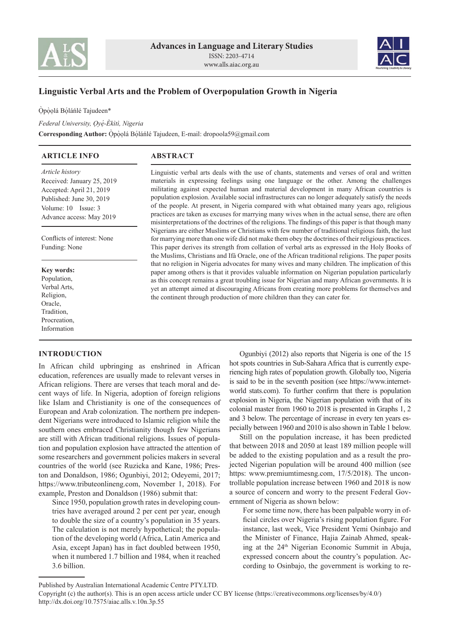



# **Linguistic Verbal Arts and the Problem of Overpopulation Growth in Nigeria**

Ópòolá Bóláńlé Tajudeen\*

*Federal University, O̩ ye̩ -Èkìtì, Nigeria ́* Corresponding Author: Opòolá Bólánlé Tajudeen, E-mail: dropoola59@gmail.com

| <b>ARTICLE INFO</b>                                                                                                                                      | <b>ABSTRACT</b>                                                                                                                                                                                                                                                                                                                                                                                                                                                                                                                                                                                                                                                                                     |  |
|----------------------------------------------------------------------------------------------------------------------------------------------------------|-----------------------------------------------------------------------------------------------------------------------------------------------------------------------------------------------------------------------------------------------------------------------------------------------------------------------------------------------------------------------------------------------------------------------------------------------------------------------------------------------------------------------------------------------------------------------------------------------------------------------------------------------------------------------------------------------------|--|
| Article history<br>Received: January 25, 2019<br>Accepted: April 21, 2019<br>Published: June 30, 2019<br>Volume: 10 Issue: 3<br>Advance access: May 2019 | Linguistic verbal arts deals with the use of chants, statements and verses of oral and written<br>materials in expressing feelings using one language or the other. Among the challenges<br>militating against expected human and material development in many African countries is<br>population explosion. Available social infrastructures can no longer adequately satisfy the needs<br>of the people. At present, in Nigeria compared with what obtained many years ago, religious<br>practices are taken as excuses for marrying many wives when in the actual sense, there are often<br>misinterpretations of the doctrines of the religions. The findings of this paper is that though many |  |
| Conflicts of interest: None<br>Funding: None                                                                                                             | Nigerians are either Muslims or Christians with few number of traditional religious faith, the lust<br>for marrying more than one wife did not make them obey the doctrines of their religious practices.<br>This paper derives its strength from collation of verbal arts as expressed in the Holy Books of<br>the Muslims, Christians and Ifá Oracle, one of the African traditional religions. The paper posits                                                                                                                                                                                                                                                                                  |  |
| Key words:<br>Population,<br>Verbal Arts,<br>Religion,<br>Oracle.<br>Tradition.<br>Procreation,<br>Information                                           | that no religion in Nigeria advocates for many wives and many children. The implication of this<br>paper among others is that it provides valuable information on Nigerian population particularly<br>as this concept remains a great troubling issue for Nigerian and many African governments. It is<br>yet an attempt aimed at discouraging Africans from creating more problems for themselves and<br>the continent through production of more children than they can cater for.                                                                                                                                                                                                                |  |

#### **INTRODUCTION**

In African child upbringing as enshrined in African education, references are usually made to relevant verses in African religions. There are verses that teach moral and decent ways of life. In Nigeria, adoption of foreign religions like Islam and Christianity is one of the consequences of European and Arab colonization. The northern pre independent Nigerians were introduced to Islamic religion while the southern ones embraced Christianity though few Nigerians are still with African traditional religions. Issues of population and population explosion have attracted the attention of some researchers and government policies makers in several countries of the world (see Ruzicka and Kane, 1986; Preston and Donaldson, 1986; Ogunbiyi, 2012; Odeyemi, 2017; https://www.tributeonlineng.com, November 1, 2018). For example, Preston and Donaldson (1986) submit that:

Since 1950, population growth rates in developing countries have averaged around 2 per cent per year, enough to double the size of a country's population in 35 years. The calculation is not merely hypothetical; the population of the developing world (Africa, Latin America and Asia, except Japan) has in fact doubled between 1950, when it numbered 1.7 billion and 1984, when it reached 3.6 billion.

Ogunbiyi (2012) also reports that Nigeria is one of the 15 hot spots countries in Sub-Sahara Africa that is currently experiencing high rates of population growth. Globally too, Nigeria is said to be in the seventh position (see https://www.internetworld stats.com). To further confirm that there is population explosion in Nigeria, the Nigerian population with that of its colonial master from 1960 to 2018 is presented in Graphs 1, 2 and 3 below. The percentage of increase in every ten years especially between 1960 and 2010 is also shown in Table 1 below.

Still on the population increase, it has been predicted that between 2018 and 2050 at least 189 million people will be added to the existing population and as a result the projected Nigerian population will be around 400 million (see https: www.premiumtimesng.com, 17/5/2018). The uncontrollable population increase between 1960 and 2018 is now a source of concern and worry to the present Federal Government of Nigeria as shown below:

For some time now, there has been palpable worry in official circles over Nigeria's rising population figure. For instance, last week, Vice President Yemi Osinbajo and the Minister of Finance, Hajia Zainab Ahmed, speaking at the 24<sup>th</sup> Nigerian Economic Summit in Abuja, expressed concern about the country's population. According to Osinbajo, the government is working to re-

Published by Australian International Academic Centre PTY.LTD.

Copyright (c) the author(s). This is an open access article under CC BY license (https://creativecommons.org/licenses/by/4.0/) http://dx.doi.org/10.7575/aiac.alls.v.10n.3p.55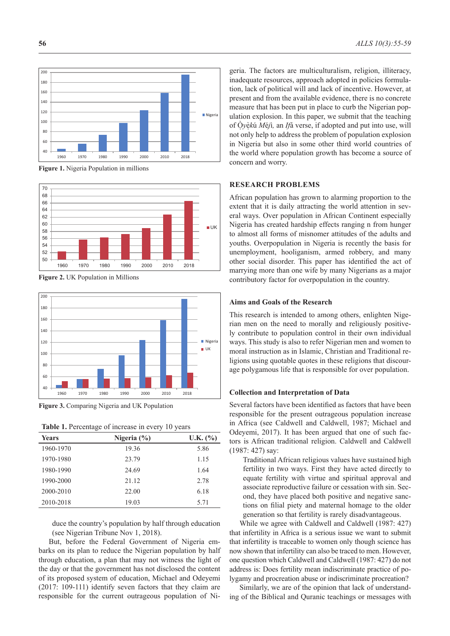

**Figure 1.** Nigeria Population in millions



**Figure 2.** UK Population in Millions



**Figure 3.** Comparing Nigeria and UK Population

**Table 1.** Percentage of increase in every 10 years

|              | ັ               |          |
|--------------|-----------------|----------|
| <b>Years</b> | Nigeria $(\% )$ | U.K. (%) |
| 1960-1970    | 19.36           | 5.86     |
| 1970-1980    | 23.79           | 1.15     |
| 1980-1990    | 24.69           | 1.64     |
| 1990-2000    | 21.12           | 2.78     |
| 2000-2010    | 22.00           | 6.18     |
| 2010-2018    | 19.03           | 5.71     |
|              |                 |          |

duce the country's population by half through education (see Nigerian Tribune Nov 1, 2018).

But, before the Federal Government of Nigeria embarks on its plan to reduce the Nigerian population by half through education, a plan that may not witness the light of the day or that the government has not disclosed the content of its proposed system of education, Michael and Odeyemi (2017: 109-111) identify seven factors that they claim are responsible for the current outrageous population of Nigeria. The factors are multiculturalism, religion, illiteracy, inadequate resources, approach adopted in policies formulation, lack of political will and lack of incentive. However, at present and from the available evidence, there is no concrete measure that has been put in place to curb the Nigerian population explosion. In this paper, we submit that the teaching of O̩ ̀*y*è ̩ *k*ú *M*é*j*ì*,* an *If*á verse, if adopted and put into use, will not only help to address the problem of population explosion in Nigeria but also in some other third world countries of the world where population growth has become a source of concern and worry.

### **RESEARCH PROBLEMS**

African population has grown to alarming proportion to the extent that it is daily attracting the world attention in several ways. Over population in African Continent especially Nigeria has created hardship effects ranging n from hunger to almost all forms of misnomer attitudes of the adults and youths. Overpopulation in Nigeria is recently the basis for unemployment, hooliganism, armed robbery, and many other social disorder. This paper has identified the act of marrying more than one wife by many Nigerians as a major contributory factor for overpopulation in the country.

### **Aims and Goals of the Research**

This research is intended to among others, enlighten Nigerian men on the need to morally and religiously positively contribute to population control in their own individual ways. This study is also to refer Nigerian men and women to moral instruction as in Islamic, Christian and Traditional religions using quotable quotes in these religions that discourage polygamous life that is responsible for over population.

### **Collection and Interpretation of Data**

Several factors have been identified as factors that have been responsible for the present outrageous population increase in Africa (see Caldwell and Caldwell, 1987; Michael and Odeyemi, 2017). It has been argued that one of such factors is African traditional religion. Caldwell and Caldwell (1987: 427) say:

Traditional African religious values have sustained high fertility in two ways. First they have acted directly to equate fertility with virtue and spiritual approval and associate reproductive failure or cessation with sin. Second, they have placed both positive and negative sanctions on filial piety and maternal homage to the older generation so that fertility is rarely disadvantageous.

While we agree with Caldwell and Caldwell (1987: 427) that infertility in Africa is a serious issue we want to submit that infertility is traceable to women only though science has now shown that infertility can also be traced to men. However, one question which Caldwell and Caldwell (1987: 427) do not address is: Does fertility mean indiscriminate practice of polygamy and procreation abuse or indiscriminate procreation?

Similarly, we are of the opinion that lack of understanding of the Biblical and Quranic teachings or messages with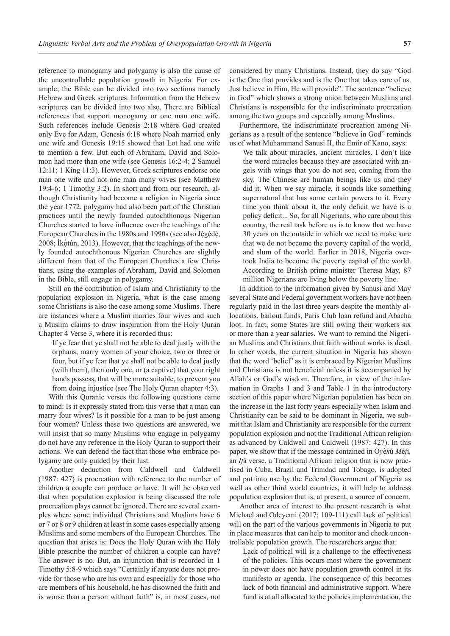reference to monogamy and polygamy is also the cause of the uncontrollable population growth in Nigeria. For example; the Bible can be divided into two sections namely Hebrew and Greek scriptures. Information from the Hebrew scriptures can be divided into two also. There are Biblical references that support monogamy or one man one wife. Such references include Genesis 2:18 where God created only Eve for Adam, Genesis 6:18 where Noah married only one wife and Genesis 19:15 showed that Lot had one wife to mention a few. But each of Abraham, David and Solomon had more than one wife (see Genesis 16:2-4; 2 Samuel 12:11; 1 King 11:3). However, Greek scriptures endorse one man one wife and not one man many wives (see Matthew 19:4-6; 1 Timothy 3:2). In short and from our research, although Christianity had become a religion in Nigeria since the year 1772, polygamy had also been part of the Christian practices until the newly founded autochthonous Nigerian Churches started to have influence over the teachings of the European Churches in the 1980s and 1990s (see also Ję́gę́dę́, **∶ ∶** 2008; İkòtún, 2013). However, that the teachings of the newly founded autochthonous Nigerian Churches are slightly different from that of the European Churches a few Christians, using the examples of Abraham, David and Solomon in the Bible, still engage in polygamy.

Still on the contribution of Islam and Christianity to the population explosion in Nigeria, what is the case among some Christians is also the case among some Muslims. There are instances where a Muslim marries four wives and such a Muslim claims to draw inspiration from the Holy Quran Chapter 4 Verse 3, where it is recorded thus:

If ye fear that ye shall not be able to deal justly with the orphans, marry women of your choice, two or three or four, but if ye fear that ye shall not be able to deal justly (with them), then only one, or (a captive) that your right hands possess, that will be more suitable, to prevent you from doing injustice (see The Holy Quran chapter 4:3).

With this Quranic verses the following questions came to mind: Is it expressly stated from this verse that a man can marry four wives? Is it possible for a man to be just among four women? Unless these two questions are answered, we will insist that so many Muslims who engage in polygamy do not have any reference in the Holy Quran to support their actions. We can defend the fact that those who embrace polygamy are only guided by their lust.

Another deduction from Caldwell and Caldwell (1987: 427) is procreation with reference to the number of children a couple can produce or have. It will be observed that when population explosion is being discussed the role procreation plays cannot be ignored. There are several examples where some individual Christians and Muslims have 6 or 7 or 8 or 9 children at least in some cases especially among Muslims and some members of the European Churches. The question that arises is: Does the Holy Quran with the Holy Bible prescribe the number of children a couple can have? The answer is no. But, an injunction that is recorded in 1 Timothy 5:8-9 which says "Certainly if anyone does not provide for those who are his own and especially for those who are members of his household, he has disowned the faith and is worse than a person without faith" is, in most cases, not

considered by many Christians. Instead, they do say "God is the One that provides and is the One that takes care of us. Just believe in Him, He will provide". The sentence "believe in God" which shows a strong union between Muslims and Christians is responsible for the indiscriminate procreation among the two groups and especially among Muslims.

Furthermore, the indiscriminate procreation among Nigerians as a result of the sentence "believe in God" reminds us of what Muhammand Sanusi II, the Emir of Kano, says:

We talk about miracles, ancient miracles. I don't like the word miracles because they are associated with angels with wings that you do not see, coming from the sky. The Chinese are human beings like us and they did it. When we say miracle, it sounds like something supernatural that has some certain powers to it. Every time you think about it, the only deficit we have is a policy deficit... So, for all Nigerians, who care about this country, the real task before us is to know that we have 30 years on the outside in which we need to make sure that we do not become the poverty capital of the world, and slum of the world. Earlier in 2018, Nigeria overtook India to become the poverty capital of the world. According to British prime minister Theresa May, 87 million Nigerians are living below the poverty line.

In addition to the information given by Sanusi and May several State and Federal government workers have not been regularly paid in the last three years despite the monthly allocations, bailout funds, Paris Club loan refund and Abacha loot. In fact, some States are still owing their workers six or more than a year salaries. We want to remind the Nigerian Muslims and Christians that faith without works is dead. In other words, the current situation in Nigeria has shown that the word 'belief' as it is embraced by Nigerian Muslims and Christians is not beneficial unless it is accompanied by Allah's or God's wisdom. Therefore, in view of the information in Graphs 1 and 3 and Table 1 in the introductory section of this paper where Nigerian population has been on the increase in the last forty years especially when Islam and Christianity can be said to be dominant in Nigeria, we submit that Islam and Christianity are responsible for the current population explosion and not the Traditional African religion as advanced by Caldwell and Caldwell (1987: 427). In this paper, we show that if the message contained in  $\dot{Q}y\dot{\phi}k\dot{u}M\dot{\theta}j\dot{\theta}$ , an *If*á verse, a Traditional African religion that is now practised in Cuba, Brazil and Trinidad and Tobago, is adopted and put into use by the Federal Government of Nigeria as well as other third world countries, it will help to address population explosion that is, at present, a source of concern.

Another area of interest to the present research is what Michael and Odeyemi (2017: 109-111) call lack of political will on the part of the various governments in Nigeria to put in place measures that can help to monitor and check uncontrollable population growth. The researchers argue that:

Lack of political will is a challenge to the effectiveness of the policies. This occurs most where the government in power does not have population growth control in its manifesto or agenda. The consequence of this becomes lack of both financial and administrative support. Where fund is at all allocated to the policies implementation, the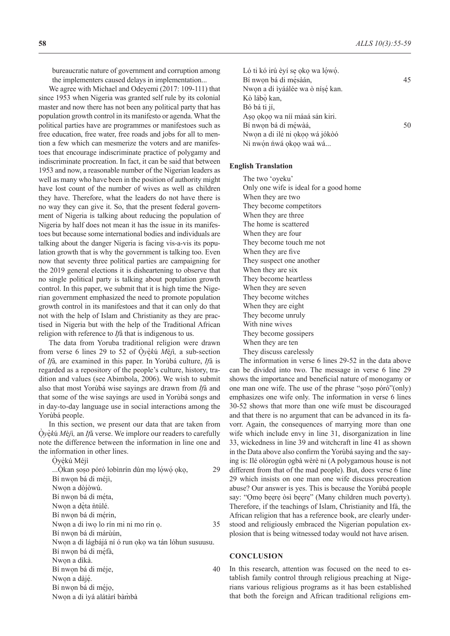bureaucratic nature of government and corruption among the implementers caused delays in implementation...

We agree with Michael and Odeyemi (2017: 109-111) that since 1953 when Nigeria was granted self rule by its colonial master and now there has not been any political party that has population growth control in its manifesto or agenda. What the political parties have are programmes or manifestoes such as free education, free water, free roads and jobs for all to mention a few which can mesmerize the voters and are manifestoes that encourage indiscriminate practice of polygamy and indiscriminate procreation. In fact, it can be said that between 1953 and now, a reasonable number of the Nigerian leaders as well as many who have been in the position of authority might have lost count of the number of wives as well as children they have. Therefore, what the leaders do not have there is no way they can give it. So, that the present federal government of Nigeria is talking about reducing the population of Nigeria by half does not mean it has the issue in its manifestoes but because some international bodies and individuals are talking about the danger Nigeria is facing vis-a-vis its population growth that is why the government is talking too. Even now that seventy three political parties are campaigning for the 2019 general elections it is disheartening to observe that no single political party is talking about population growth control. In this paper, we submit that it is high time the Nigerian government emphasized the need to promote population growth control in its manifestoes and that it can only do that not with the help of Islam and Christianity as they are practised in Nigeria but with the help of the Traditional African religion with reference to *If*á that is indigenous to us.

The data from Yoruba traditional religion were drawn from verse 6 lines 29 to 52 of  $Qy$ *èkú Méj*ì, a sub-section ̀ of *If*á*,* are examined in this paper. In Yorùbá culture, *If*á is regarded as a repository of the people's culture, history, tradition and values (see Abimbola, 2006). We wish to submit also that most Yorùbá wise sayings are drawn from *If*á and that some of the wise sayings are used in Yorùbá songs and in day-to-day language use in social interactions among the Yorùbá people.

In this section, we present our data that are taken from O̩ ̀*y*e̩ *k*ú *M*é*j*ì*,* an *If*á verse. We implore our readers to carefully ̀ note the difference between the information in line one and the information in other lines.

O̩ ̀yè ̩ kú Méjì ...Q̄kan ṣoṣo póró lobìnrín dùn mọ lợ́wợ́ ọkọ,  $29$ Bí nwon bá di méjì, Nwon a dòjòwú. Bí nwọn bá di mę́ta, ́ Nwọn a dệta ñtúlé. ̀ Bí nwọn bá di mérin, Nwon a di ìwo lo rín mi ni mo rín o . 35 Bí nwon bá di márùún, Nwon a di lágbájá ní ó run oko wa tán lóhun susuusu. Bí nwọn bá di mę́fà, Nwon a dìkà. Bí nwọn bá di méje, 40 Nwọn a dàjé. Bí nwọn bá di méjọ, **∶** Nwọn a di ìyá alátàrí bàmbà

| Ló ti kó irú éyí se oko wa lówó. |    |
|----------------------------------|----|
| Bí nwọn bá di mésàán,            | 45 |
| Nwọn a di iyáálée wa ò nísé kan. |    |
| Kò lábò kan,                     |    |
| Bó bá ti jí,                     |    |
| Aso okoo wa nii máaá sán kiri.   |    |
| Bí nwọn bá di méwàá,             | 50 |
| Nwon a di ilé ni okoo wá jókòó   |    |
| Ni nwón ńwá okoo waá wá          |    |
|                                  |    |

#### **English Translation**

The two 'oyeku' Only one wife is ideal for a good home When they are two They become competitors When they are three The home is scattered When they are four They become touch me not When they are five They suspect one another When they are six They become heartless When they are seven They become witches When they are eight They become unruly With nine wives They become gossipers When they are ten They discuss carelessly

The information in verse 6 lines 29-52 in the data above can be divided into two. The message in verse 6 line 29 shows the importance and beneficial nature of monogamy or one man one wife. The use of the phrase "soso póró"(only) emphasizes one wife only. The information in verse 6 lines 30-52 shows that more than one wife must be discouraged and that there is no argument that can be advanced in its favorr. Again, the consequences of marrying more than one wife which include envy in line 31, disorganization in line 33, wickedness in line 39 and witchcraft in line 41 as shown in the Data above also confirm the Yorùbá saying and the saying is: Ilé olórogún ogbà wèrè ni (A polygamous house is not different from that of the mad people). But, does verse 6 line 29 which insists on one man one wife discuss procreation abuse? Our answer is yes. This is because the Yorùbá people say: "Omo beere òsì beere" (Many children much poverty). Therefore, if the teachings of Islam, Christianity and Ifá, the African religion that has a reference book, are clearly understood and religiously embraced the Nigerian population explosion that is being witnessed today would not have arisen.

#### **CONCLUSION**

In this research, attention was focused on the need to establish family control through religious preaching at Nigerians various religious programs as it has been established that both the foreign and African traditional religions em